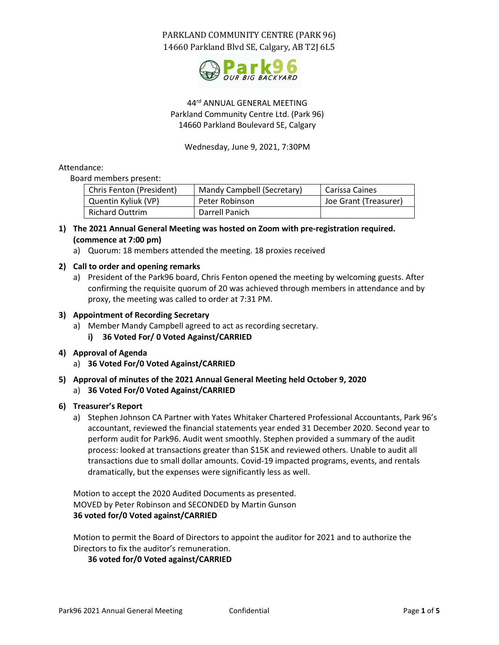

## 44rd ANNUAL GENERAL MEETING Parkland Community Centre Ltd. (Park 96) 14660 Parkland Boulevard SE, Calgary

Wednesday, June 9, 2021, 7:30PM

### Attendance:

Board members present:

| Chris Fenton (President) | Mandy Campbell (Secretary) | Carissa Caines        |
|--------------------------|----------------------------|-----------------------|
| Quentin Kyliuk (VP)      | Peter Robinson             | Joe Grant (Treasurer) |
| <b>Richard Outtrim</b>   | Darrell Panich             |                       |

- **1) The 2021 Annual General Meeting was hosted on Zoom with pre-registration required. (commence at 7:00 pm)**
	- a) Quorum: 18 members attended the meeting. 18 proxies received

## **2) Call to order and opening remarks**

- a) President of the Park96 board, Chris Fenton opened the meeting by welcoming guests. After confirming the requisite quorum of 20 was achieved through members in attendance and by proxy, the meeting was called to order at 7:31 PM.
- **3) Appointment of Recording Secretary**
	- a) Member Mandy Campbell agreed to act as recording secretary.
		- **i) 36 Voted For/ 0 Voted Against/CARRIED**
- **4) Approval of Agenda**
	- a) **36 Voted For/0 Voted Against/CARRIED**
- **5) Approval of minutes of the 2021 Annual General Meeting held October 9, 2020** a) **36 Voted For/0 Voted Against/CARRIED**

## **6) Treasurer's Report**

a) Stephen Johnson CA Partner with Yates Whitaker Chartered Professional Accountants, Park 96's accountant, reviewed the financial statements year ended 31 December 2020. Second year to perform audit for Park96. Audit went smoothly. Stephen provided a summary of the audit process: looked at transactions greater than \$15K and reviewed others. Unable to audit all transactions due to small dollar amounts. Covid-19 impacted programs, events, and rentals dramatically, but the expenses were significantly less as well.

Motion to accept the 2020 Audited Documents as presented. MOVED by Peter Robinson and SECONDED by Martin Gunson **36 voted for/0 Voted against/CARRIED**

Motion to permit the Board of Directors to appoint the auditor for 2021 and to authorize the Directors to fix the auditor's remuneration.

## **36 voted for/0 Voted against/CARRIED**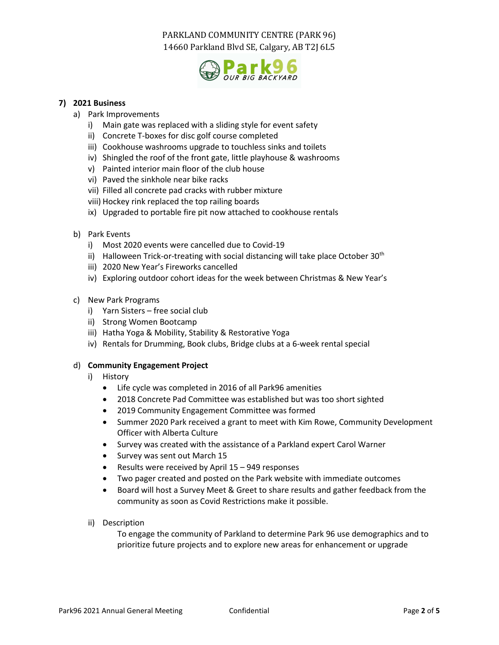

## **7) 2021 Business**

- a) Park Improvements
	- i) Main gate was replaced with a sliding style for event safety
	- ii) Concrete T-boxes for disc golf course completed
	- iii) Cookhouse washrooms upgrade to touchless sinks and toilets
	- iv) Shingled the roof of the front gate, little playhouse & washrooms
	- v) Painted interior main floor of the club house
	- vi) Paved the sinkhole near bike racks
	- vii) Filled all concrete pad cracks with rubber mixture
	- viii) Hockey rink replaced the top railing boards
	- ix) Upgraded to portable fire pit now attached to cookhouse rentals
- b) Park Events
	- i) Most 2020 events were cancelled due to Covid-19
	- ii) Halloween Trick-or-treating with social distancing will take place October  $30<sup>th</sup>$
	- iii) 2020 New Year's Fireworks cancelled
	- iv) Exploring outdoor cohort ideas for the week between Christmas & New Year's
- c) New Park Programs
	- i) Yarn Sisters free social club
	- ii) Strong Women Bootcamp
	- iii) Hatha Yoga & Mobility, Stability & Restorative Yoga
	- iv) Rentals for Drumming, Book clubs, Bridge clubs at a 6-week rental special

#### d) **Community Engagement Project**

- i) History
	- Life cycle was completed in 2016 of all Park96 amenities
	- 2018 Concrete Pad Committee was established but was too short sighted
	- 2019 Community Engagement Committee was formed
	- Summer 2020 Park received a grant to meet with Kim Rowe, Community Development Officer with Alberta Culture
	- Survey was created with the assistance of a Parkland expert Carol Warner
	- Survey was sent out March 15
	- Results were received by April 15 949 responses
	- Two pager created and posted on the Park website with immediate outcomes
	- Board will host a Survey Meet & Greet to share results and gather feedback from the community as soon as Covid Restrictions make it possible.
- ii) Description

To engage the community of Parkland to determine Park 96 use demographics and to prioritize future projects and to explore new areas for enhancement or upgrade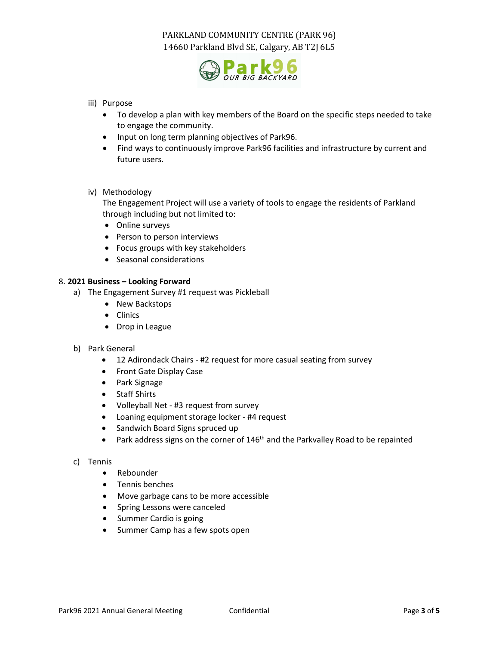

- iii) Purpose
	- To develop a plan with key members of the Board on the specific steps needed to take to engage the community.
	- Input on long term planning objectives of Park96.
	- Find ways to continuously improve Park96 facilities and infrastructure by current and future users.
- iv) Methodology

The Engagement Project will use a variety of tools to engage the residents of Parkland through including but not limited to:

- Online surveys
- Person to person interviews
- Focus groups with key stakeholders
- Seasonal considerations

#### 8. **2021 Business – Looking Forward**

- a) The Engagement Survey #1 request was Pickleball
	- New Backstops
	- Clinics
	- Drop in League
- b) Park General
	- 12 Adirondack Chairs #2 request for more casual seating from survey
	- Front Gate Display Case
	- Park Signage
	- Staff Shirts
	- Volleyball Net #3 request from survey
	- Loaning equipment storage locker #4 request
	- Sandwich Board Signs spruced up
	- Park address signs on the corner of  $146<sup>th</sup>$  and the Parkvalley Road to be repainted
- c) Tennis
	- Rebounder
	- Tennis benches
	- Move garbage cans to be more accessible
	- Spring Lessons were canceled
	- Summer Cardio is going
	- Summer Camp has a few spots open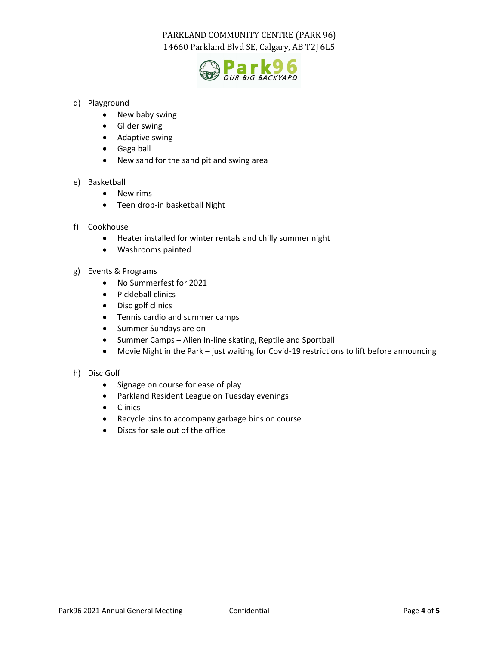

## d) Playground

- New baby swing
- Glider swing
- Adaptive swing
- Gaga ball
- New sand for the sand pit and swing area

## e) Basketball

- New rims
- Teen drop-in basketball Night
- f) Cookhouse
	- Heater installed for winter rentals and chilly summer night
	- Washrooms painted
- g) Events & Programs
	- No Summerfest for 2021
	- Pickleball clinics
	- Disc golf clinics
	- Tennis cardio and summer camps
	- Summer Sundays are on
	- Summer Camps Alien In-line skating, Reptile and Sportball
	- Movie Night in the Park just waiting for Covid-19 restrictions to lift before announcing

## h) Disc Golf

- Signage on course for ease of play
- Parkland Resident League on Tuesday evenings
- Clinics
- Recycle bins to accompany garbage bins on course
- Discs for sale out of the office